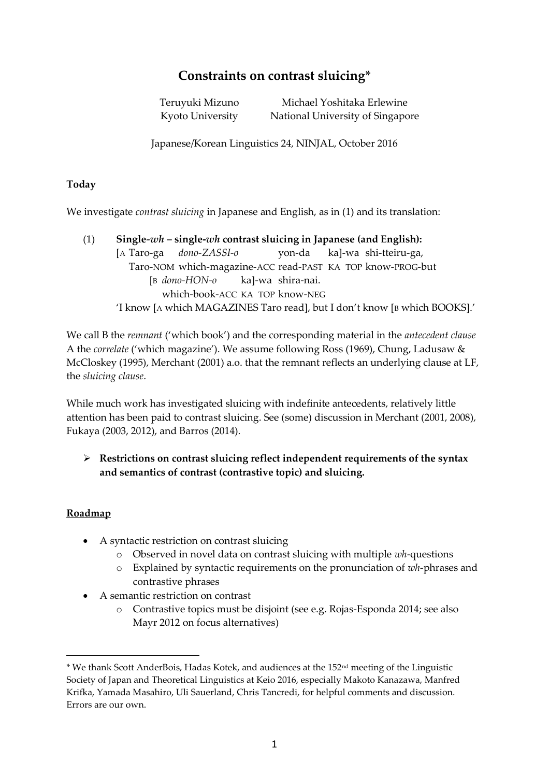# **Constraints on contrast sluicing\***

Teruyuki Mizuno Michael Yoshitaka Erlewine Kyoto University National University of Singapore

Japanese/Korean Linguistics 24, NINJAL, October 2016

#### **Today**

We investigate *contrast sluicing* in Japanese and English, as in (1) and its translation:

(1) **Single***-wh* **– single-***wh* **contrast sluicing in Japanese (and English):** [A Taro-ga *dono-ZASSI-o* yon-da ka]-wa shi-tteiru-ga, Taro-NOM which-magazine-ACC read-PAST KA TOP know-PROG-but [B *dono-HON-o* ka]-wa shira-nai. which-book-ACC KA TOP know-NEG 'I know [A which MAGAZINES Taro read], but I don't know [B which BOOKS].'

We call B the *remnant* ('which book') and the corresponding material in the *antecedent clause* A the *correlate* ('which magazine'). We assume following Ross (1969), Chung, Ladusaw & McCloskey (1995), Merchant (2001) a.o. that the remnant reflects an underlying clause at LF, the *sluicing clause*.

While much work has investigated sluicing with indefinite antecedents, relatively little attention has been paid to contrast sluicing. See (some) discussion in Merchant (2001, 2008), Fukaya (2003, 2012), and Barros (2014).

 **Restrictions on contrast sluicing reflect independent requirements of the syntax and semantics of contrast (contrastive topic) and sluicing.**

## **Roadmap**

 $\overline{a}$ 

- A syntactic restriction on contrast sluicing
	- o Observed in novel data on contrast sluicing with multiple *wh*-questions
	- o Explained by syntactic requirements on the pronunciation of *wh*-phrases and contrastive phrases
- A semantic restriction on contrast
	- o Contrastive topics must be disjoint (see e.g. Rojas-Esponda 2014; see also Mayr 2012 on focus alternatives)

<sup>\*</sup> We thank Scott AnderBois, Hadas Kotek, and audiences at the 152nd meeting of the Linguistic Society of Japan and Theoretical Linguistics at Keio 2016, especially Makoto Kanazawa, Manfred Krifka, Yamada Masahiro, Uli Sauerland, Chris Tancredi, for helpful comments and discussion. Errors are our own.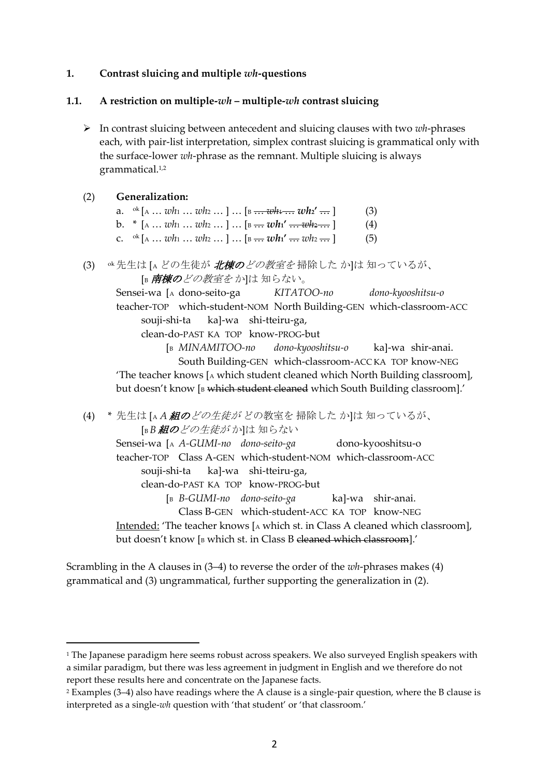#### **1. Contrast sluicing and multiple** *wh***-questions**

#### **1.1. A restriction on multiple-***wh* **– multiple-***wh* **contrast sluicing**

 In contrast sluicing between antecedent and sluicing clauses with two *wh*-phrases each, with pair-list interpretation, simplex contrast sluicing is grammatical only with the surface-lower *wh*-phrase as the remnant. Multiple sluicing is always grammatical.1,2

#### (2) **Generalization:**

 $\overline{a}$ 

- a. <sup>ok</sup>  $[A \dots wh_1 \dots wh_2 \dots] \dots [B \dots wh_1 \dots wh_2 \dots]$  (3)
- b.  $*(A \dots wh_1 \dots wh_2 \dots ] \dots [B \dots wh_1' \dots wh_2 \dots ]$  (4)
- c.  $\alpha^{k}$  [A ... *wh*<sub>1</sub> ... *wh*<sub>2</sub> ... ] ... [B ... *wh*<sub>1</sub>' ... *wh*<sub>2</sub> ... ] (5)
- (3) <sup>ok</sup>先生は [A どの生徒が *北棟のどの教室を* 掃除した か]は 知っているが、 [B **南棟の**どの教室をか]は知らない。

Sensei-wa [<sup>A</sup> dono-seito-ga *KITATOO-no dono-kyooshitsu-o* teacher-TOP which-student-NOM North Building-GEN which-classroom-ACC souji-shi-ta ka]-wa shi-tteiru-ga,

clean-do-PAST KA TOP know-PROG-but

[<sup>B</sup> *MINAMITOO-no dono-kyooshitsu-o* ka]-wa shir-anai. South Building-GEN which-classroom-ACC KA TOP know-NEG 'The teacher knows [<sup>A</sup> which student cleaned which North Building classroom], but doesn't know [B which student cleaned which South Building classroom].'

(4) \* 先生は [<sup>A</sup> *A* 組のどの生徒が どの教室を 掃除した か]は 知っているが、 [B *B* 組のどの生徒が か]は 知らない

Sensei-wa [A *A-GUMI-no dono-seito-ga* dono-kyooshitsu-o teacher-TOP Class A-GEN which-student-NOM which-classroom-ACC souji-shi-ta ka]-wa shi-tteiru-ga, clean-do-PAST KA TOP know-PROG-but [<sup>B</sup> *B-GUMI-no dono-seito-ga* ka]-wa shir-anai. Class B-GEN which-student-ACC KA TOP know-NEG Intended: 'The teacher knows [A which st. in Class A cleaned which classroom], but doesn't know [B which st. in Class B eleaned which classroom].'

Scrambling in the A clauses in (3–4) to reverse the order of the *wh*-phrases makes (4) grammatical and (3) ungrammatical, further supporting the generalization in (2).

<sup>&</sup>lt;sup>1</sup> The Japanese paradigm here seems robust across speakers. We also surveyed English speakers with a similar paradigm, but there was less agreement in judgment in English and we therefore do not report these results here and concentrate on the Japanese facts.

<sup>2</sup> Examples (3–4) also have readings where the A clause is a single-pair question, where the B clause is interpreted as a single-*wh* question with 'that student' or 'that classroom.'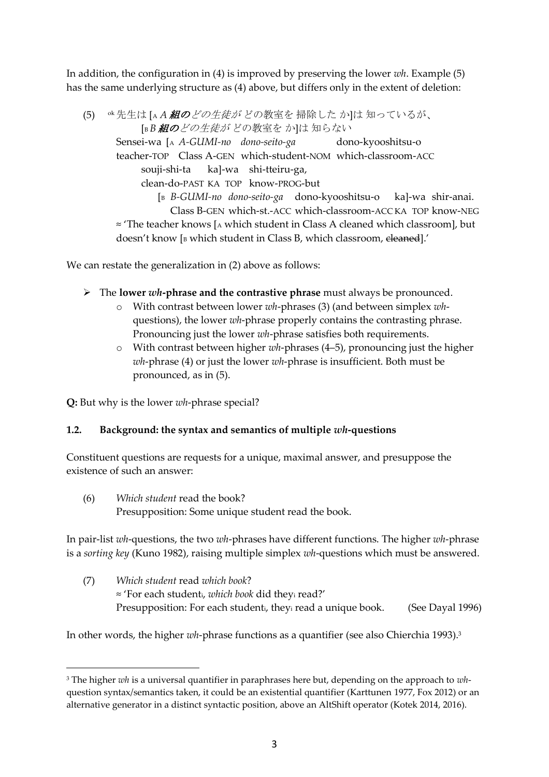In addition, the configuration in (4) is improved by preserving the lower *wh*. Example (5) has the same underlying structure as (4) above, but differs only in the extent of deletion:

(5) ok先生は [<sup>A</sup> *A* 組のどの生徒が どの教室を 掃除した か]は 知っているが、 [B *B* 組のどの生徒が どの教室を か]は 知らない Sensei-wa [<sup>A</sup> *A-GUMI-no dono-seito-ga* dono-kyooshitsu-o teacher-TOP Class A-GEN which-student-NOM which-classroom-ACC souji-shi-ta ka]-wa shi-tteiru-ga, clean-do-PAST KA TOP know-PROG-but [<sup>B</sup> *B-GUMI-no dono-seito-ga* dono-kyooshitsu-o ka]-wa shir-anai. Class B-GEN which-st.-ACC which-classroom-ACC KA TOP know-NEG ≈ 'The teacher knows [<sup>A</sup> which student in Class A cleaned which classroom], but doesn't know [B which student in Class B, which classroom, eleaned].'

We can restate the generalization in (2) above as follows:

- The **lower** *wh***-phrase and the contrastive phrase** must always be pronounced.
	- o With contrast between lower *wh*-phrases (3) (and between simplex *wh*questions), the lower *wh*-phrase properly contains the contrasting phrase. Pronouncing just the lower *wh*-phrase satisfies both requirements.
	- o With contrast between higher *wh*-phrases (4–5), pronouncing just the higher *wh*-phrase (4) or just the lower *wh*-phrase is insufficient. Both must be pronounced, as in (5).

**Q:** But why is the lower *wh*-phrase special?

 $\overline{a}$ 

## **1.2. Background: the syntax and semantics of multiple** *wh***-questions**

Constituent questions are requests for a unique, maximal answer, and presuppose the existence of such an answer:

(6) *Which student* read the book? Presupposition: Some unique student read the book.

In pair-list *wh*-questions, the two *wh*-phrases have different functions. The higher *wh*-phrase is a *sorting key* (Kuno 1982), raising multiple simplex *wh*-questions which must be answered.

(7) *Which student* read *which book*? ≈ 'For each studenti, *which book* did they<sup>i</sup> read?' Presupposition: For each student<sub>i</sub>, they<sub>i</sub> read a unique book. (See Dayal 1996)

In other words, the higher *wh*-phrase functions as a quantifier (see also Chierchia 1993). 3

<sup>3</sup> The higher *wh* is a universal quantifier in paraphrases here but, depending on the approach to *wh*question syntax/semantics taken, it could be an existential quantifier (Karttunen 1977, Fox 2012) or an alternative generator in a distinct syntactic position, above an AltShift operator (Kotek 2014, 2016).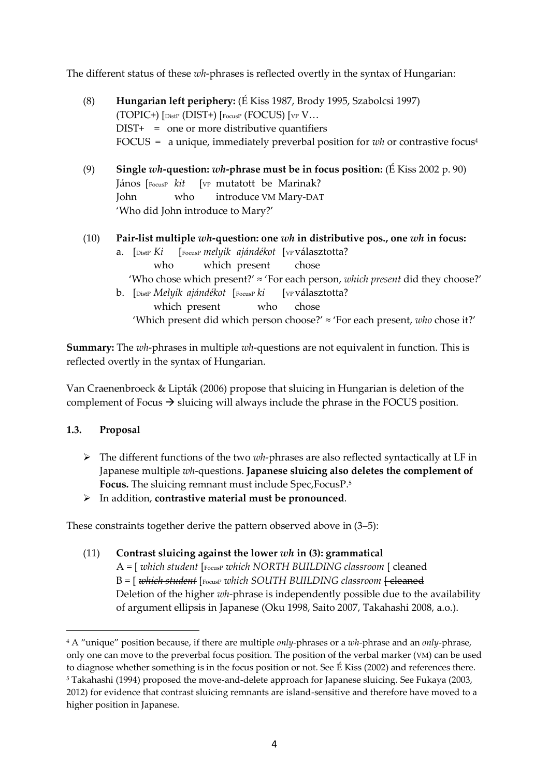The different status of these *wh*-phrases is reflected overtly in the syntax of Hungarian:

(8) **Hungarian left periphery:** (É Kiss 1987, Brody 1995, Szabolcsi 1997) (TOPIC+)  $[$ DistP (DIST+)  $[$ FocusP (FOCUS)  $[$ VP  $V...$  $DIST+ = one or more distributive quantifiers$ FOCUS = a unique, immediately preverbal position for *wh* or contrastive focus<sup>4</sup> (9) **Single** *wh***-question:** *wh***-phrase must be in focus position:** (É Kiss 2002 p. 90) János **[FocusP** *kit* [VP mutatott be Marinak? John who introduce VM Mary-DAT 'Who did John introduce to Mary?' (10) **Pair-list multiple** *wh***-question: one** *wh* **in distributive pos., one** *wh* **in focus:** a. [DistP *Ki* [FocusP *melyik ajándékot* [VP választotta? who which present chose 'Who chose which present?' ≈ 'For each person, *which present* did they choose?' b. [DistP *Melyik ajándékot* [FocusP *ki* [VP választotta? which present who chose 'Which present did which person choose?' ≈ 'For each present, *who* chose it?'

**Summary:** The *wh*-phrases in multiple *wh*-questions are not equivalent in function. This is reflected overtly in the syntax of Hungarian.

Van Craenenbroeck & Lipták (2006) propose that sluicing in Hungarian is deletion of the complement of Focus  $\rightarrow$  sluicing will always include the phrase in the FOCUS position.

## **1.3. Proposal**

 $\overline{a}$ 

 $\triangleright$  The different functions of the two *wh*-phrases are also reflected syntactically at LF in Japanese multiple *wh*-questions. **Japanese sluicing also deletes the complement of Focus.** The sluicing remnant must include Spec,FocusP. 5

## In addition, **contrastive material must be pronounced**.

These constraints together derive the pattern observed above in (3–5):

(11) **Contrast sluicing against the lower** *wh* **in (3): grammatical** A = [ *which student* [FocusP *which NORTH BUILDING classroom* [ cleaned B = [ *which student* [FocusP *which SOUTH BUILDING classroom* [ cleaned Deletion of the higher *wh*-phrase is independently possible due to the availability of argument ellipsis in Japanese (Oku 1998, Saito 2007, Takahashi 2008, a.o.).

<sup>4</sup> A "unique" position because, if there are multiple *only*-phrases or a *wh*-phrase and an *only*-phrase, only one can move to the preverbal focus position. The position of the verbal marker (VM) can be used to diagnose whether something is in the focus position or not. See É Kiss (2002) and references there. <sup>5</sup> Takahashi (1994) proposed the move-and-delete approach for Japanese sluicing. See Fukaya (2003, 2012) for evidence that contrast sluicing remnants are island-sensitive and therefore have moved to a higher position in Japanese.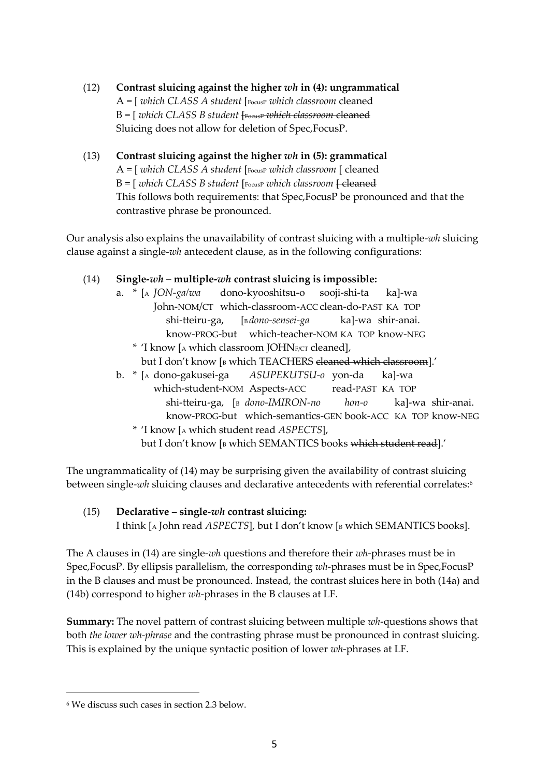- (12) **Contrast sluicing against the higher** *wh* **in (4): ungrammatical** A = [ *which CLASS A student* [FocusP *which classroom* cleaned B = [ *which CLASS B student* [FocusP *which classroom* cleaned Sluicing does not allow for deletion of Spec,FocusP.
- (13) **Contrast sluicing against the higher** *wh* **in (5): grammatical** A = [ *which CLASS A student* [FocusP *which classroom* [ cleaned B = [ *which CLASS B student* [ FocusP *which classroom* <del>[ cleaned</del> This follows both requirements: that Spec,FocusP be pronounced and that the contrastive phrase be pronounced.

Our analysis also explains the unavailability of contrast sluicing with a multiple-*wh* sluicing clause against a single-*wh* antecedent clause, as in the following configurations:

# (14) **Single-***wh* **– multiple-***wh* **contrast sluicing is impossible:**

- a. \* [<sup>A</sup> *JON-ga/wa* dono-kyooshitsu-o sooji-shi-ta ka]-wa John-NOM/CT which-classroom-ACC clean-do-PAST KA TOP shi-tteiru-ga, [<sup>B</sup> *dono-sensei-ga* ka]-wa shir-anai. know-PROG-but which-teacher-NOM KA TOP know-NEG
	- \* 'I know [<sup>A</sup> which classroom JOHNF/CT cleaned], but I don't know [B which TEACHERS eleaned which classroom].'
- b. \* [<sup>A</sup> dono-gakusei-ga *ASUPEKUTSU-o* yon-da ka]-wa which-student-NOM Aspects-ACC read-PAST KA TOP shi-tteiru-ga, [<sup>B</sup> *dono-IMIRON-no hon-o* ka]-wa shir-anai. know-PROG-but which-semantics-GEN book-ACC KA TOP know-NEG
	- \* 'I know [<sup>A</sup> which student read *ASPECTS*], but I don't know [B which SEMANTICS books which student read].'

The ungrammaticality of (14) may be surprising given the availability of contrast sluicing between single-*wh* sluicing clauses and declarative antecedents with referential correlates:<sup>6</sup>

(15) **Declarative – single-***wh* **contrast sluicing:** I think [A John read *ASPECTS*], but I don't know [B which SEMANTICS books].

The A clauses in (14) are single-*wh* questions and therefore their *wh*-phrases must be in Spec,FocusP. By ellipsis parallelism, the corresponding *wh*-phrases must be in Spec,FocusP in the B clauses and must be pronounced. Instead, the contrast sluices here in both (14a) and (14b) correspond to higher *wh*-phrases in the B clauses at LF.

**Summary:** The novel pattern of contrast sluicing between multiple *wh*-questions shows that both *the lower wh-phrase* and the contrasting phrase must be pronounced in contrast sluicing. This is explained by the unique syntactic position of lower *wh*-phrases at LF.

 $\overline{a}$ 

<sup>6</sup> We discuss such cases in section 2.3 below.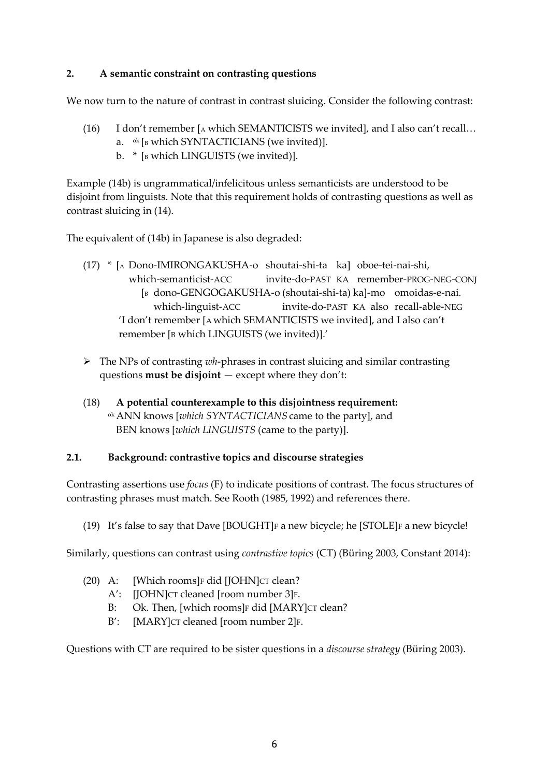# **2. A semantic constraint on contrasting questions**

We now turn to the nature of contrast in contrast sluicing. Consider the following contrast:

- (16) I don't remember [ $\alpha$  which SEMANTICISTS we invited], and I also can't recall... a.  $\circ$ <sup>k</sup> [B which SYNTACTICIANS (we invited)].
	- b.  $*$  [ $B$  which LINGUISTS (we invited)].

Example (14b) is ungrammatical/infelicitous unless semanticists are understood to be disjoint from linguists. Note that this requirement holds of contrasting questions as well as contrast sluicing in (14).

The equivalent of (14b) in Japanese is also degraded:

- (17) \* [<sup>A</sup> Dono-IMIRONGAKUSHA-o shoutai-shi-ta ka] oboe-tei-nai-shi, which-semanticist-ACC invite-do-PAST KA remember-PROG-NEG-CONJ [<sup>B</sup> dono-GENGOGAKUSHA-o (shoutai-shi-ta) ka]-mo omoidas-e-nai. which-linguist-ACC invite-do-PAST KA also recall-able-NEG 'I don't remember [A which SEMANTICISTS we invited], and I also can't remember [B which LINGUISTS (we invited)].'
- The NPs of contrasting *wh*-phrases in contrast sluicing and similar contrasting questions **must be disjoint** — except where they don't:
- (18) **A potential counterexample to this disjointness requirement:** ok ANN knows [*which SYNTACTICIANS* came to the party], and BEN knows [*which LINGUISTS* (came to the party)].

## **2.1. Background: contrastive topics and discourse strategies**

Contrasting assertions use *focus* (F) to indicate positions of contrast. The focus structures of contrasting phrases must match. See Rooth (1985, 1992) and references there.

(19) It's false to say that Dave [BOUGHT] $F$  a new bicycle; he [STOLE] $F$  a new bicycle!

Similarly, questions can contrast using *contrastive topics* (CT) (Büring 2003, Constant 2014):

- (20) A: [Which rooms] $F \cdot$  did [JOHN] $CT \cdot clean$ ?
	- A': [JOHN]CT cleaned [room number 3]F.
	- B: Ok. Then, [which rooms]F did [MARY]CT clean?
	- B': [MARY]CT cleaned [room number 2]F.

Questions with CT are required to be sister questions in a *discourse strategy* (Büring 2003).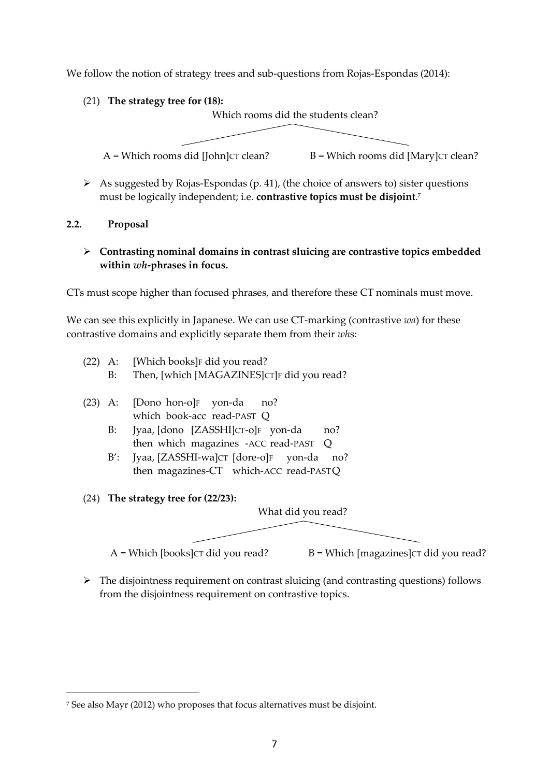We follow the notion of strategy trees and sub-questions from Rojas-Espondas (2014):

(21) **The strategy tree for (18):**

Which rooms did the students clean?



As suggested by Rojas-Espondas (p. 41), (the choice of answers to) sister questions must be logically independent; i.e. **contrastive topics must be disjoint**. 7

#### **2.2. Proposal**

## **Contrasting nominal domains in contrast sluicing are contrastive topics embedded within** *wh***-phrases in focus.**

CTs must scope higher than focused phrases, and therefore these CT nominals must move.

We can see this explicitly in Japanese. We can use CT-marking (contrastive *wa*) for these contrastive domains and explicitly separate them from their *wh*s:

- (22) A: [Which books] $F$  did you read? B: Then, [which [MAGAZINES]CT]F did you read?
- (23) A: [Dono hon-o]F yon-da no? which book-acc read-PAST Q
	- B: Jyaa, [dono [ZASSHI]CT-o]F yon-da no? then which magazines -ACC read-PAST Q
	- B': Jyaa, [ZASSHI-wa]CT [dore-o]F yon-da no? then magazines-CT which-ACC read-PASTQ
- (24) **The strategy tree for (22/23):**

 $\overline{a}$ 

What did you read?

 $A =$  Which [books] $CT$  did you read?  $B =$  Which [magazines] $CT$  did you read?

 $\triangleright$  The disjointness requirement on contrast sluicing (and contrasting questions) follows from the disjointness requirement on contrastive topics.

<sup>7</sup> See also Mayr (2012) who proposes that focus alternatives must be disjoint.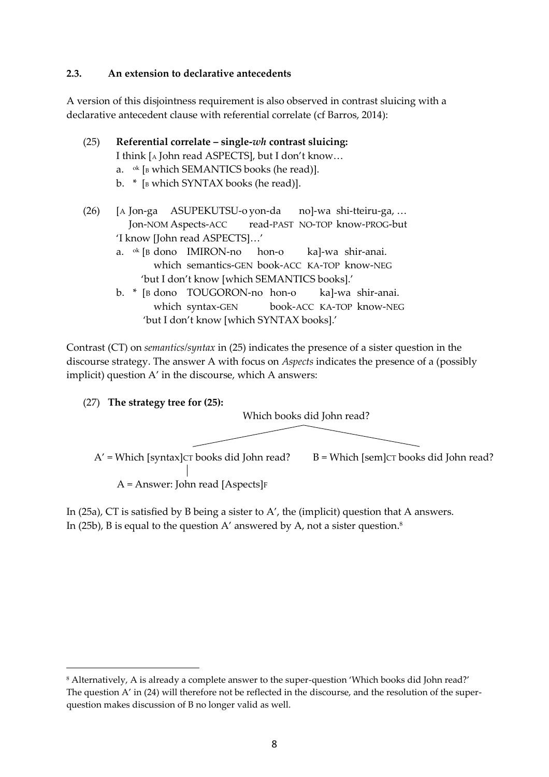#### **2.3. An extension to declarative antecedents**

A version of this disjointness requirement is also observed in contrast sluicing with a declarative antecedent clause with referential correlate (cf Barros, 2014):

(25) **Referential correlate – single-***wh* **contrast sluicing:** I think [<sup>A</sup> John read ASPECTS], but I don't know… a.  $\circ$ k [B which SEMANTICS books (he read)].

b.  $*$  [B which SYNTAX books (he read)].

(26) [A Jon-ga ASUPEKUTSU-o yon-da no]-wa shi-tteiru-ga, … Jon-NOM Aspects-ACC read-PAST NO-TOP know-PROG-but 'I know [John read ASPECTS]…'

- a. ok [B dono IMIRON-no hon-o ka]-wa shir-anai. which semantics-GEN book-ACC KA-TOP know-NEG 'but I don't know [which SEMANTICS books].'
- b. \* [B dono TOUGORON-no hon-o ka]-wa shir-anai. which syntax-GEN book-ACC KA-TOP know-NEG 'but I don't know [which SYNTAX books].'

Contrast (CT) on *semantics/syntax* in (25) indicates the presence of a sister question in the discourse strategy. The answer A with focus on *Aspects* indicates the presence of a (possibly implicit) question A' in the discourse, which A answers:

(27) **The strategy tree for (25):**

 $\overline{a}$ 



In (25a), CT is satisfied by B being a sister to A', the (implicit) question that A answers. In (25b), B is equal to the question A' answered by A, not a sister question.<sup>8</sup>

<sup>8</sup> Alternatively, A is already a complete answer to the super-question 'Which books did John read?' The question A' in (24) will therefore not be reflected in the discourse, and the resolution of the superquestion makes discussion of B no longer valid as well.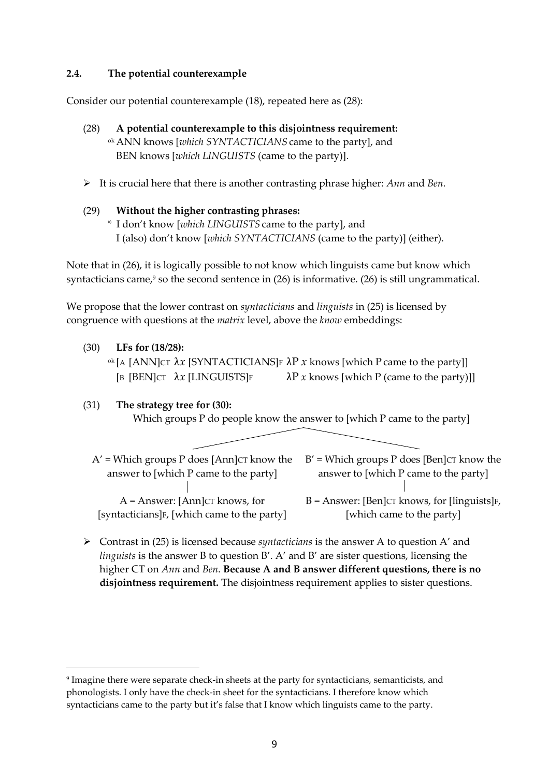## **2.4. The potential counterexample**

Consider our potential counterexample (18), repeated here as (28):

- (28) **A potential counterexample to this disjointness requirement:** ok ANN knows [*which SYNTACTICIANS* came to the party], and BEN knows [*which LINGUISTS* (came to the party)].
- It is crucial here that there is another contrasting phrase higher: *Ann* and *Ben*.
- (29) **Without the higher contrasting phrases:** \* I don't know [*which LINGUISTS* came to the party], and I (also) don't know [*which SYNTACTICIANS* (came to the party)] (either).

Note that in (26), it is logically possible to not know which linguists came but know which syntacticians came, <sup>9</sup> so the second sentence in (26) is informative. (26) is still ungrammatical.

We propose that the lower contrast on *syntacticians* and *linguists* in (25) is licensed by congruence with questions at the *matrix* level, above the *know* embeddings:

(30) **LFs for (18/28):**

 $\overline{a}$ 

<sup>ok</sup> [A [ANN]CT  $\lambda x$  [SYNTACTICIANS]F  $\lambda P$  *x* knows [which P came to the party]] [B [BEN]CT  $\lambda x$  [LINGUISTS]F  $\lambda P$  *x* knows [which P (came to the party)]]

(31) **The strategy tree for (30):** Which groups P do people know the answer to [which P came to the party]

- $A'$  = Which groups P does [Ann] $CT$  know the answer to [which P came to the party] A = Answer: [Ann]CT knows, for [syntacticians]<sub>F</sub>, [which came to the party]  $B'$  = Which groups P does [Ben] $CT$  know the answer to [which P came to the party] B = Answer: [Ben]CT knows, for [linguists]F, [which came to the party]
- Contrast in (25) is licensed because *syntacticians* is the answer A to question A' and *linguists* is the answer B to question B'. A' and B' are sister questions, licensing the higher CT on *Ann* and *Ben*. **Because A and B answer different questions, there is no disjointness requirement.** The disjointness requirement applies to sister questions.

<sup>9</sup> Imagine there were separate check-in sheets at the party for syntacticians, semanticists, and phonologists. I only have the check-in sheet for the syntacticians. I therefore know which syntacticians came to the party but it's false that I know which linguists came to the party.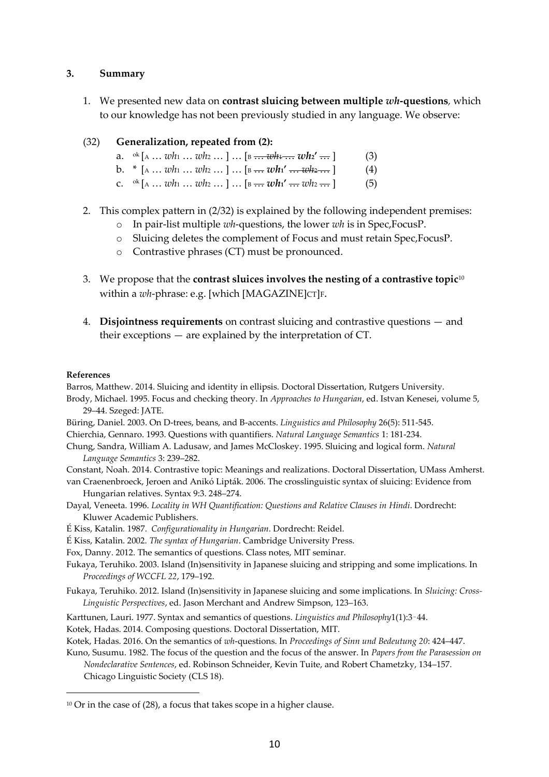#### **3. Summary**

1. We presented new data on **contrast sluicing between multiple** *wh***-questions***,* which to our knowledge has not been previously studied in any language. We observe:

#### (32) **Generalization, repeated from (2):**

- a. <sup>ok</sup> [A … *wh*<sub>1</sub> … *wh*<sub>2</sub> … ] … [B <del>… *wh*<sub>1</sub> … *wh*<sub>2</sub>' … ] (3)</del>
- b.  $*(A \dots wh_1 \dots wh_2 \dots ] \dots [B \dots wh_1' \dots wh_2 \dots ]$  (4)
- c.  $\alpha^{k}$  [A ... *wh*<sub>1</sub> ... *wh*<sub>2</sub> ... ] ... [B ... *wh*<sub>1</sub>' ... *wh*<sub>2</sub> ... ] (5)
- 2. This complex pattern in (2/32) is explained by the following independent premises:
	- o In pair-list multiple *wh*-questions, the lower *wh* is in Spec,FocusP.
	- o Sluicing deletes the complement of Focus and must retain Spec,FocusP.
	- o Contrastive phrases (CT) must be pronounced.
- 3. We propose that the **contrast sluices involves the nesting of a contrastive topic**<sup>10</sup> within a *wh*-phrase: e.g. [which [MAGAZINE]CT]F.
- 4. **Disjointness requirements** on contrast sluicing and contrastive questions and their exceptions — are explained by the interpretation of CT.

#### **References**

Barros, Matthew. 2014. Sluicing and identity in ellipsis. Doctoral Dissertation, Rutgers University.

- Brody, Michael. 1995. Focus and checking theory. In *Approaches to Hungarian*, ed. Istvan Kenesei, volume 5, 29–44. Szeged: JATE.
- Büring, Daniel. 2003. On D-trees, beans, and B-accents. *Linguistics and Philosophy* 26(5): 511-545.

Chierchia, Gennaro. 1993. Questions with quantifiers. *Natural Language Semantics* 1: 181-234.

Chung, Sandra, William A. Ladusaw, and James McCloskey. 1995. Sluicing and logical form. *Natural Language Semantics* 3: 239–282.

Constant, Noah. 2014. Contrastive topic: Meanings and realizations. Doctoral Dissertation, UMass Amherst. van Craenenbroeck, Jeroen and Anikó Lipták. 2006. The crosslinguistic syntax of sluicing: Evidence from

Hungarian relatives. Syntax 9:3. 248–274.

- Dayal, Veneeta. 1996. *Locality in WH Quantification: Questions and Relative Clauses in Hindi*. Dordrecht: Kluwer Academic Publishers.
- É Kiss, Katalin. 1987. *Configurationality in Hungarian*. Dordrecht: Reidel.

É Kiss, Katalin. 2002. *The syntax of Hungarian*. Cambridge University Press.

Fox, Danny. 2012. The semantics of questions. Class notes, MIT seminar.

Fukaya, Teruhiko. 2003. Island (In)sensitivity in Japanese sluicing and stripping and some implications. In *Proceedings of WCCFL 22*, 179–192.

Fukaya, Teruhiko. 2012. Island (In)sensitivity in Japanese sluicing and some implications. In *Sluicing: Cross-Linguistic Perspectives*, ed. Jason Merchant and Andrew Simpson, 123–163.

Karttunen, Lauri. 1977. Syntax and semantics of questions. *Linguistics and Philosophy*1(1):3–44.

Kotek, Hadas. 2014. Composing questions. Doctoral Dissertation, MIT.

Kotek, Hadas. 2016. On the semantics of *wh*-questions. In *Proceedings of Sinn und Bedeutung 20*: 424–447.

Kuno, Susumu. 1982. The focus of the question and the focus of the answer. In *Papers from the Parasession on Nondeclarative Sentences*, ed. Robinson Schneider, Kevin Tuite, and Robert Chametzky, 134–157.

Chicago Linguistic Society (CLS 18).

 $\overline{a}$ 

 $10$  Or in the case of (28), a focus that takes scope in a higher clause.